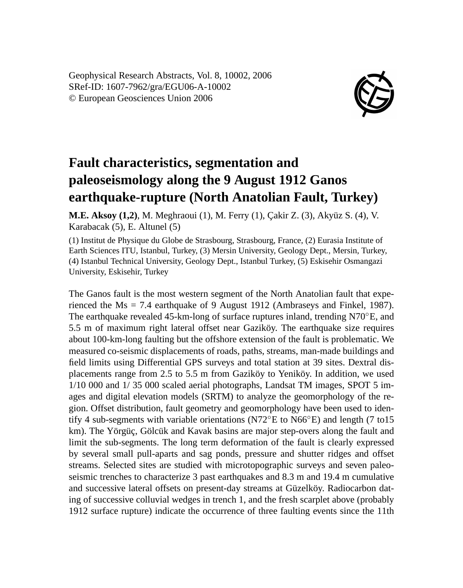Geophysical Research Abstracts, Vol. 8, 10002, 2006 SRef-ID: 1607-7962/gra/EGU06-A-10002 © European Geosciences Union 2006



## **Fault characteristics, segmentation and paleoseismology along the 9 August 1912 Ganos earthquake-rupture (North Anatolian Fault, Turkey)**

**M.E. Aksoy (1,2)**, M. Meghraoui (1), M. Ferry (1), Çakir Z. (3), Akyüz S. (4), V. Karabacak (5), E. Altunel (5)

(1) Institut de Physique du Globe de Strasbourg, Strasbourg, France, (2) Eurasia Institute of Earth Sciences ITU, Istanbul, Turkey, (3) Mersin University, Geology Dept., Mersin, Turkey, (4) Istanbul Technical University, Geology Dept., Istanbul Turkey, (5) Eskisehir Osmangazi University, Eskisehir, Turkey

The Ganos fault is the most western segment of the North Anatolian fault that experienced the Ms = 7.4 earthquake of 9 August 1912 (Ambraseys and Finkel, 1987). The earthquake revealed 45-km-long of surface ruptures inland, trending N70◦E, and 5.5 m of maximum right lateral offset near Gaziköy. The earthquake size requires about 100-km-long faulting but the offshore extension of the fault is problematic. We measured co-seismic displacements of roads, paths, streams, man-made buildings and field limits using Differential GPS surveys and total station at 39 sites. Dextral displacements range from 2.5 to 5.5 m from Gaziköy to Yeniköy. In addition, we used 1/10 000 and 1/ 35 000 scaled aerial photographs, Landsat TM images, SPOT 5 images and digital elevation models (SRTM) to analyze the geomorphology of the region. Offset distribution, fault geometry and geomorphology have been used to identify 4 sub-segments with variable orientations (N72◦E to N66◦E) and length (7 to15 km). The Yörgüç, Gölcük and Kavak basins are major step-overs along the fault and limit the sub-segments. The long term deformation of the fault is clearly expressed by several small pull-aparts and sag ponds, pressure and shutter ridges and offset streams. Selected sites are studied with microtopographic surveys and seven paleoseismic trenches to characterize 3 past earthquakes and 8.3 m and 19.4 m cumulative and successive lateral offsets on present-day streams at Güzelköy. Radiocarbon dating of successive colluvial wedges in trench 1, and the fresh scarplet above (probably 1912 surface rupture) indicate the occurrence of three faulting events since the 11th